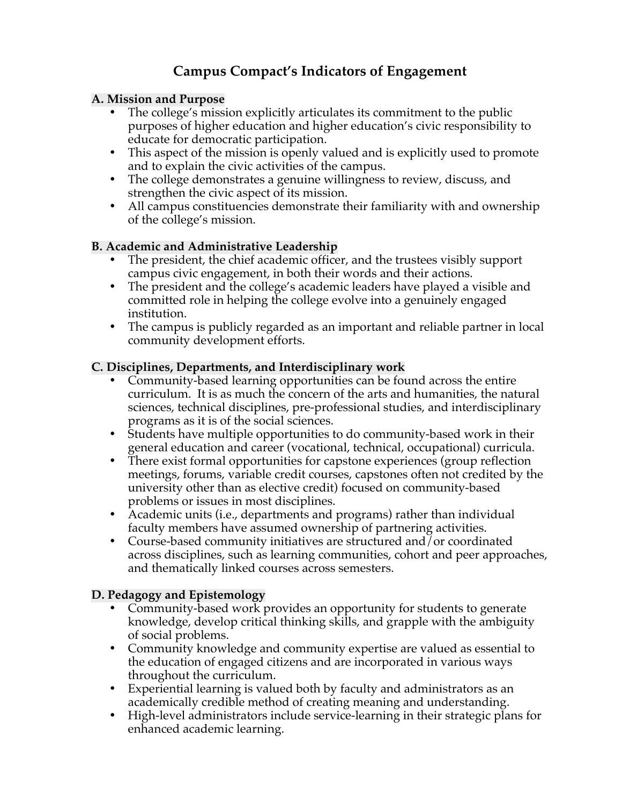# **Campus Compact's Indicators of Engagement**

## **A. Mission and Purpose**

- The college's mission explicitly articulates its commitment to the public purposes of higher education and higher education's civic responsibility to educate for democratic participation.
- This aspect of the mission is openly valued and is explicitly used to promote and to explain the civic activities of the campus.
- The college demonstrates a genuine willingness to review, discuss, and strengthen the civic aspect of its mission.
- All campus constituencies demonstrate their familiarity with and ownership of the college's mission.

# **B. Academic and Administrative Leadership**

- The president, the chief academic officer, and the trustees visibly support campus civic engagement, in both their words and their actions.
- The president and the college's academic leaders have played a visible and committed role in helping the college evolve into a genuinely engaged institution.
- The campus is publicly regarded as an important and reliable partner in local community development efforts.

## **C. Disciplines, Departments, and Interdisciplinary work**

- Community-based learning opportunities can be found across the entire curriculum. It is as much the concern of the arts and humanities, the natural sciences, technical disciplines, pre-professional studies, and interdisciplinary programs as it is of the social sciences.
- Students have multiple opportunities to do community-based work in their general education and career (vocational, technical, occupational) curricula.
- There exist formal opportunities for capstone experiences (group reflection meetings, forums, variable credit courses, capstones often not credited by the university other than as elective credit) focused on community-based problems or issues in most disciplines.
- Academic units (i.e., departments and programs) rather than individual faculty members have assumed ownership of partnering activities.
- Course-based community initiatives are structured and/or coordinated across disciplines, such as learning communities, cohort and peer approaches, and thematically linked courses across semesters.

# **D. Pedagogy and Epistemology**

- Community-based work provides an opportunity for students to generate knowledge, develop critical thinking skills, and grapple with the ambiguity of social problems.
- Community knowledge and community expertise are valued as essential to the education of engaged citizens and are incorporated in various ways throughout the curriculum.
- Experiential learning is valued both by faculty and administrators as an academically credible method of creating meaning and understanding.
- High-level administrators include service-learning in their strategic plans for enhanced academic learning.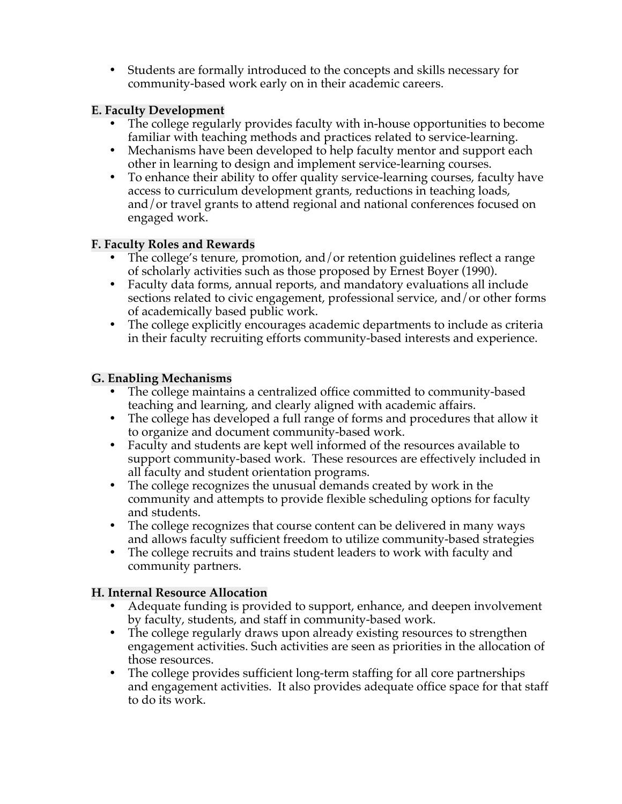• Students are formally introduced to the concepts and skills necessary for community-based work early on in their academic careers.

## **E. Faculty Development**

- The college regularly provides faculty with in-house opportunities to become familiar with teaching methods and practices related to service-learning.
- Mechanisms have been developed to help faculty mentor and support each other in learning to design and implement service-learning courses.
- To enhance their ability to offer quality service-learning courses, faculty have access to curriculum development grants, reductions in teaching loads, and/or travel grants to attend regional and national conferences focused on engaged work.

## **F. Faculty Roles and Rewards**

- The college's tenure, promotion, and/or retention guidelines reflect a range of scholarly activities such as those proposed by Ernest Boyer (1990).
- Faculty data forms, annual reports, and mandatory evaluations all include sections related to civic engagement, professional service, and/or other forms of academically based public work.
- The college explicitly encourages academic departments to include as criteria in their faculty recruiting efforts community-based interests and experience.

## **G. Enabling Mechanisms**

- The college maintains a centralized office committed to community-based teaching and learning, and clearly aligned with academic affairs.
- The college has developed a full range of forms and procedures that allow it to organize and document community-based work.
- Faculty and students are kept well informed of the resources available to support community-based work. These resources are effectively included in all faculty and student orientation programs.
- The college recognizes the unusual demands created by work in the community and attempts to provide flexible scheduling options for faculty and students.
- The college recognizes that course content can be delivered in many ways and allows faculty sufficient freedom to utilize community-based strategies
- The college recruits and trains student leaders to work with faculty and community partners.

# **H. Internal Resource Allocation**

- Adequate funding is provided to support, enhance, and deepen involvement by faculty, students, and staff in community-based work.
- The college regularly draws upon already existing resources to strengthen engagement activities. Such activities are seen as priorities in the allocation of those resources.
- The college provides sufficient long-term staffing for all core partnerships and engagement activities. It also provides adequate office space for that staff to do its work.